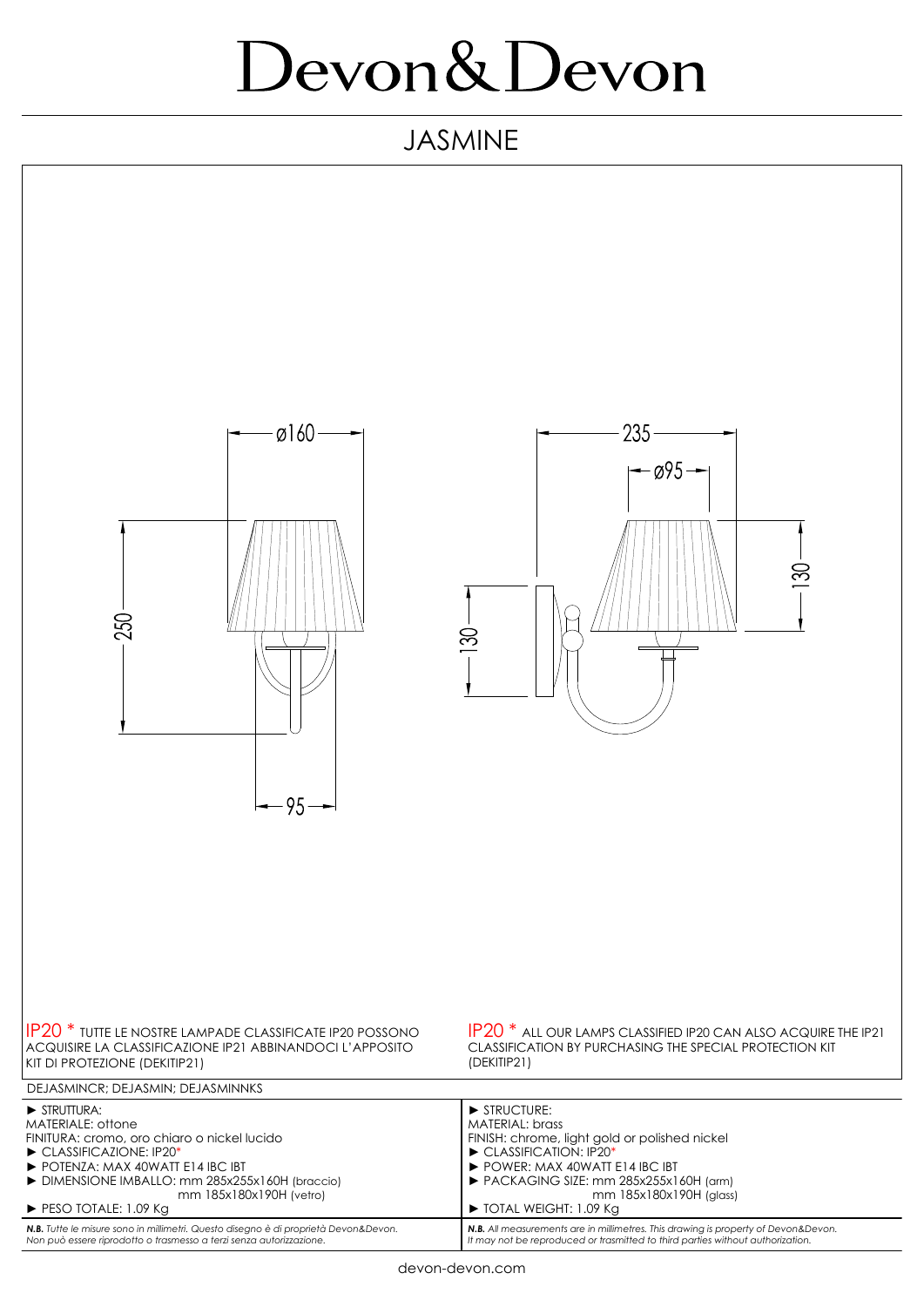## Devon&Devon

## JASMINE